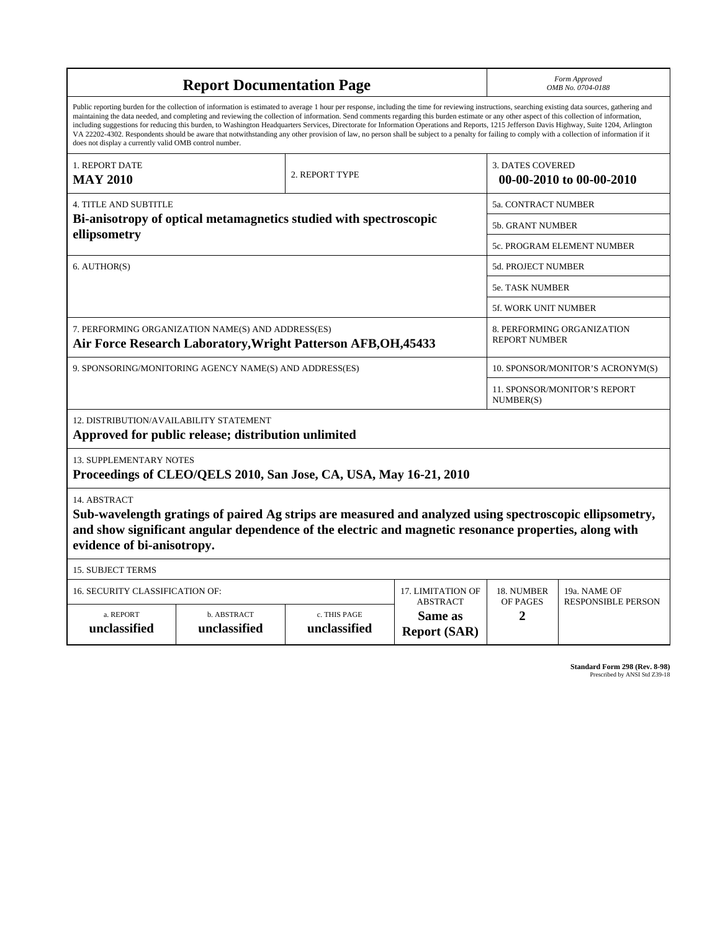| <b>Report Documentation Page</b>                                                                                                                                                                                                                                                                                                                                                                                                                                                                                                                                                                                                                                                                                                                                                                                                                                   |                             |                              |                                                   | Form Approved<br>OMB No. 0704-0188                 |                           |  |
|--------------------------------------------------------------------------------------------------------------------------------------------------------------------------------------------------------------------------------------------------------------------------------------------------------------------------------------------------------------------------------------------------------------------------------------------------------------------------------------------------------------------------------------------------------------------------------------------------------------------------------------------------------------------------------------------------------------------------------------------------------------------------------------------------------------------------------------------------------------------|-----------------------------|------------------------------|---------------------------------------------------|----------------------------------------------------|---------------------------|--|
| Public reporting burden for the collection of information is estimated to average 1 hour per response, including the time for reviewing instructions, searching existing data sources, gathering and<br>maintaining the data needed, and completing and reviewing the collection of information. Send comments regarding this burden estimate or any other aspect of this collection of information,<br>including suggestions for reducing this burden, to Washington Headquarters Services, Directorate for Information Operations and Reports, 1215 Jefferson Davis Highway, Suite 1204, Arlington<br>VA 22202-4302. Respondents should be aware that notwithstanding any other provision of law, no person shall be subject to a penalty for failing to comply with a collection of information if it<br>does not display a currently valid OMB control number. |                             |                              |                                                   |                                                    |                           |  |
| 1. REPORT DATE                                                                                                                                                                                                                                                                                                                                                                                                                                                                                                                                                                                                                                                                                                                                                                                                                                                     |                             |                              |                                                   | <b>3. DATES COVERED</b>                            |                           |  |
| <b>MAY 2010</b>                                                                                                                                                                                                                                                                                                                                                                                                                                                                                                                                                                                                                                                                                                                                                                                                                                                    |                             | 2. REPORT TYPE               |                                                   | 00-00-2010 to 00-00-2010                           |                           |  |
| <b>4. TITLE AND SUBTITLE</b>                                                                                                                                                                                                                                                                                                                                                                                                                                                                                                                                                                                                                                                                                                                                                                                                                                       |                             |                              |                                                   | 5a. CONTRACT NUMBER                                |                           |  |
| Bi-anisotropy of optical metamagnetics studied with spectroscopic<br>ellipsometry                                                                                                                                                                                                                                                                                                                                                                                                                                                                                                                                                                                                                                                                                                                                                                                  |                             |                              |                                                   | 5b. GRANT NUMBER                                   |                           |  |
|                                                                                                                                                                                                                                                                                                                                                                                                                                                                                                                                                                                                                                                                                                                                                                                                                                                                    |                             |                              |                                                   | 5c. PROGRAM ELEMENT NUMBER                         |                           |  |
| 6. AUTHOR(S)                                                                                                                                                                                                                                                                                                                                                                                                                                                                                                                                                                                                                                                                                                                                                                                                                                                       |                             |                              |                                                   | 5d. PROJECT NUMBER                                 |                           |  |
|                                                                                                                                                                                                                                                                                                                                                                                                                                                                                                                                                                                                                                                                                                                                                                                                                                                                    |                             |                              |                                                   | 5e. TASK NUMBER                                    |                           |  |
|                                                                                                                                                                                                                                                                                                                                                                                                                                                                                                                                                                                                                                                                                                                                                                                                                                                                    |                             |                              |                                                   | <b>5f. WORK UNIT NUMBER</b>                        |                           |  |
| 7. PERFORMING ORGANIZATION NAME(S) AND ADDRESS(ES)<br>Air Force Research Laboratory, Wright Patterson AFB, OH, 45433                                                                                                                                                                                                                                                                                                                                                                                                                                                                                                                                                                                                                                                                                                                                               |                             |                              |                                                   | 8. PERFORMING ORGANIZATION<br><b>REPORT NUMBER</b> |                           |  |
| 9. SPONSORING/MONITORING AGENCY NAME(S) AND ADDRESS(ES)                                                                                                                                                                                                                                                                                                                                                                                                                                                                                                                                                                                                                                                                                                                                                                                                            |                             |                              |                                                   | 10. SPONSOR/MONITOR'S ACRONYM(S)                   |                           |  |
|                                                                                                                                                                                                                                                                                                                                                                                                                                                                                                                                                                                                                                                                                                                                                                                                                                                                    |                             |                              |                                                   | 11. SPONSOR/MONITOR'S REPORT<br>NUMBER(S)          |                           |  |
| 12. DISTRIBUTION/AVAILABILITY STATEMENT<br>Approved for public release; distribution unlimited                                                                                                                                                                                                                                                                                                                                                                                                                                                                                                                                                                                                                                                                                                                                                                     |                             |                              |                                                   |                                                    |                           |  |
| 13. SUPPLEMENTARY NOTES<br>Proceedings of CLEO/QELS 2010, San Jose, CA, USA, May 16-21, 2010                                                                                                                                                                                                                                                                                                                                                                                                                                                                                                                                                                                                                                                                                                                                                                       |                             |                              |                                                   |                                                    |                           |  |
| 14. ABSTRACT<br>Sub-wavelength gratings of paired Ag strips are measured and analyzed using spectroscopic ellipsometry,<br>and show significant angular dependence of the electric and magnetic resonance properties, along with<br>evidence of bi-anisotropy.                                                                                                                                                                                                                                                                                                                                                                                                                                                                                                                                                                                                     |                             |                              |                                                   |                                                    |                           |  |
| <b>15. SUBJECT TERMS</b>                                                                                                                                                                                                                                                                                                                                                                                                                                                                                                                                                                                                                                                                                                                                                                                                                                           |                             |                              |                                                   |                                                    |                           |  |
| 16. SECURITY CLASSIFICATION OF:<br>17. LIMITATION OF                                                                                                                                                                                                                                                                                                                                                                                                                                                                                                                                                                                                                                                                                                                                                                                                               |                             |                              |                                                   | 18. NUMBER                                         | 19a. NAME OF              |  |
| a. REPORT<br>unclassified                                                                                                                                                                                                                                                                                                                                                                                                                                                                                                                                                                                                                                                                                                                                                                                                                                          | b. ABSTRACT<br>unclassified | c. THIS PAGE<br>unclassified | <b>ABSTRACT</b><br>Same as<br><b>Report (SAR)</b> | OF PAGES<br>2                                      | <b>RESPONSIBLE PERSON</b> |  |

**Standard Form 298 (Rev. 8-98)**<br>Prescribed by ANSI Std Z39-18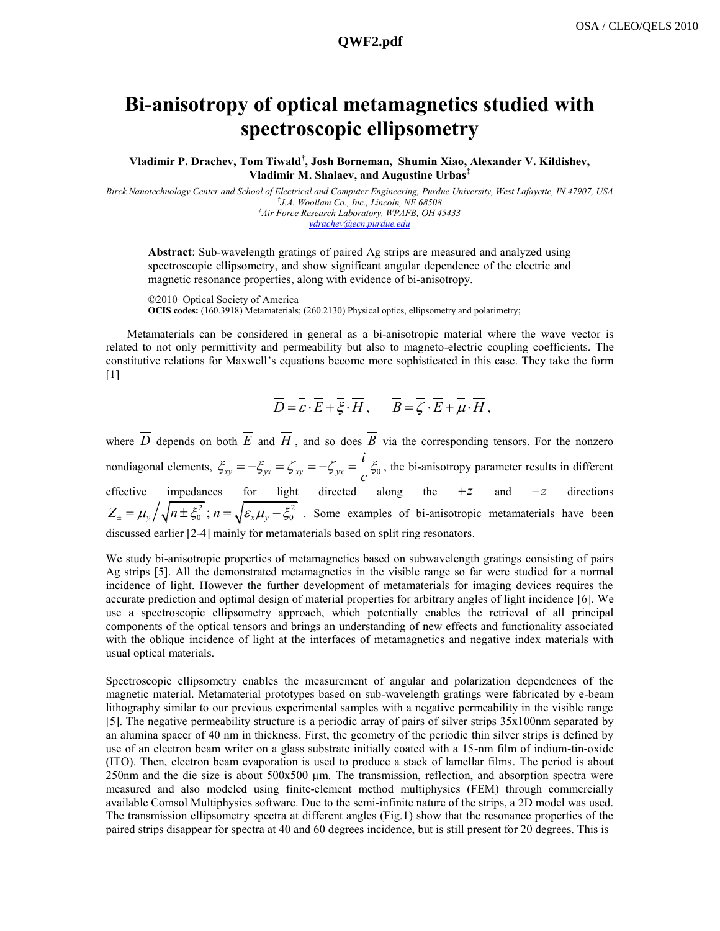## **Bi-anisotropy of optical metamagnetics studied with spectroscopic ellipsometry**

**Vladimir P. Drachev, Tom Tiwald† , Josh Borneman, Shumin Xiao, Alexander V. Kildishev, Vladimir M. Shalaev, and Augustine Urbas‡** 

*Birck Nanotechnology Center and School of Electrical and Computer Engineering, Purdue University, West Lafayette, IN 47907, USA † J.A. Woollam Co., Inc., Lincoln, NE 68508 ‡Air Force Research Laboratory, WPAFB, OH 45433 [vdrachev@ecn.purdue.edu](mailto:vdrachev@ecn.purdue.edu)*

**Abstract**: Sub-wavelength gratings of paired Ag strips are measured and analyzed using spectroscopic ellipsometry, and show significant angular dependence of the electric and magnetic resonance properties, along with evidence of bi-anisotropy.

©2010 Optical Society of America **OCIS codes:** (160.3918) Metamaterials; (260.2130) Physical optics, ellipsometry and polarimetry;

Metamaterials can be considered in general as a bi-anisotropic material where the wave vector is related to not only permittivity and permeability but also to magneto-electric coupling coefficients. The constitutive relations for Maxwell's equations become more sophisticated in this case. They take the form  $[1]$ 

$$
\overline{D} = \overline{\varepsilon} \cdot \overline{E} + \overline{\overline{\xi}} \cdot \overline{H}, \qquad \overline{B} = \overline{\overline{\zeta}} \cdot \overline{E} + \overline{\mu} \cdot \overline{H},
$$

where  $D$  depends on both  $E$  and  $H$ , and so does  $B$  via the corresponding tensors. For the nonzero nondiagonal elements,  $\zeta_{xy} = -\zeta_{yx} = \zeta_{xy} = -\zeta_{yx} = -\zeta_{0}$ *i*  $\zeta_{xy} = -\zeta_{yx} = \zeta_{xy} = -\zeta_{yx} = \frac{i}{c}\zeta_0$ , the bi-anisotropy parameter results in different effective impedances for light directed along the  $+z$  and  $-z$  directions  $Z_{\pm} = \mu_y / \sqrt{n \pm \xi_0^2}$ ;  $n = \sqrt{\varepsilon_x \mu_y - \xi_0^2}$ . Some examples of bi-anisotropic metamaterials have been discussed earlier [2-4] mainly for metamaterials based on split ring resonators.

We study bi-anisotropic properties of metamagnetics based on subwavelength gratings consisting of pairs Ag strips [5]. All the demonstrated metamagnetics in the visible range so far were studied for a normal incidence of light. However the further development of metamaterials for imaging devices requires the accurate prediction and optimal design of material properties for arbitrary angles of light incidence [6]. We use a spectroscopic ellipsometry approach, which potentially enables the retrieval of all principal components of the optical tensors and brings an understanding of new effects and functionality associated with the oblique incidence of light at the interfaces of metamagnetics and negative index materials with usual optical materials.

Spectroscopic ellipsometry enables the measurement of angular and polarization dependences of the magnetic material. Metamaterial prototypes based on sub-wavelength gratings were fabricated by e-beam lithography similar to our previous experimental samples with a negative permeability in the visible range [5]. The negative permeability structure is a periodic array of pairs of silver strips 35x100nm separated by an alumina spacer of 40 nm in thickness. First, the geometry of the periodic thin silver strips is defined by use of an electron beam writer on a glass substrate initially coated with a 15-nm film of indium-tin-oxide (ITO). Then, electron beam evaporation is used to produce a stack of lamellar films. The period is about 250nm and the die size is about  $500x500 \mu m$ . The transmission, reflection, and absorption spectra were measured and also modeled using finite-element method multiphysics (FEM) through commercially available Comsol Multiphysics software. Due to the semi-infinite nature of the strips, a 2D model was used. The transmission ellipsometry spectra at different angles (Fig.1) show that the resonance properties of the paired strips disappear for spectra at 40 and 60 degrees incidence, but is still present for 20 degrees. This is